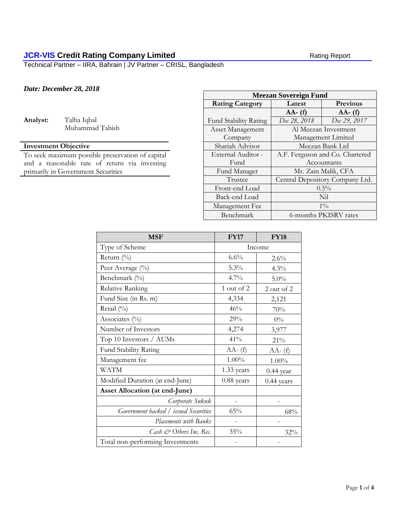# **JCR-VIS Credit Rating Company Limited** Rating Report Rating Report

Technical Partner – IIRA, Bahrain | JV Partner – CRISL, Bangladesh

## *Date: December 28, 2018*

**Analyst:** Talha Iqbal

Muhammad Tabish

## **Investment Objective**

To seek maximum possible preservation of capital and a reasonable rate of return via investing primarily in Government Securities

| <b>Meezan Sovereign Fund</b> |                                 |                 |  |
|------------------------------|---------------------------------|-----------------|--|
| <b>Rating Category</b>       | Latest                          | <b>Previous</b> |  |
|                              | $AA - (f)$                      | $AA - (f)$      |  |
| <b>Fund Stability Rating</b> | Dec 28, 2018                    | Dec 29, 2017    |  |
| Asset Management             | Al Meezan Investment            |                 |  |
| Company                      | Management Limited              |                 |  |
| Shariah Advisor              | Meezan Bank Ltd                 |                 |  |
| External Auditor -           | A.F. Ferguson and Co. Chartered |                 |  |
| Fund                         | Accountants                     |                 |  |
| Fund Manager                 | Mr. Zain Malik, CFA             |                 |  |
| Trustee                      | Central Depository Company Ltd. |                 |  |
| Front-end Load               | $0.5\%$                         |                 |  |
| Back-end Load                | Nil                             |                 |  |
| Management Fee               | $1\%$                           |                 |  |
| Benchmark                    | 6-months PKISRV rates           |                 |  |

| <b>MSF</b>                            | <b>FY17</b> | <b>FY18</b> |  |
|---------------------------------------|-------------|-------------|--|
| Type of Scheme                        | Income      |             |  |
| Return $(\%$                          | 6.6%        | $2.6\%$     |  |
| Peer Average (%)                      | 5.3%        | 4.3%        |  |
| Benchmark (%)                         | 4.7%        | $5.0\%$     |  |
| Relative Ranking                      | 1 out of 2  | 2 out of 2  |  |
| Fund Size (in Rs. m)                  | 4,334       | 2,121       |  |
| Retail (%)                            | 46%         | 70%         |  |
| Associates $(\%)$                     | 29%         | $0\%$       |  |
| Number of Investors                   | 4,274       | 3,977       |  |
| Top 10 Investors / AUMs               | 41%         | 21%         |  |
| Fund Stability Rating                 | $AA - (f)$  | $AA - (f)$  |  |
| Management fee                        | 1.00%       | $1.00\%$    |  |
| <b>WATM</b>                           | 1.33 years  | $0.44$ year |  |
| Modified Duration (at end-June)       | 0.88 years  | 0.44 years  |  |
| <b>Asset Allocation (at end-June)</b> |             |             |  |
| Corporate Sukuk                       |             |             |  |
| Government backed / issued Securities | 65%         | 68%         |  |
| Placements with Banks                 |             |             |  |
| Cash & Others Inc. Rec.               | 35%         | 32%         |  |
| Total non-performing Investments      |             |             |  |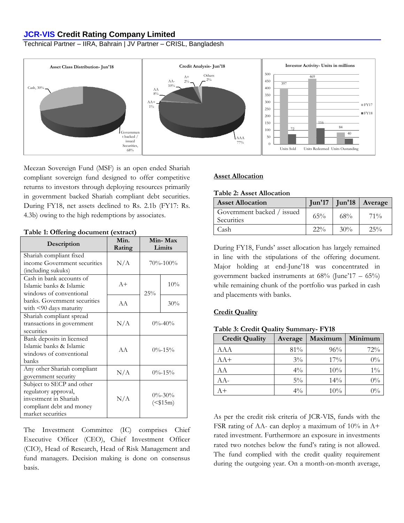## **JCR-VIS Credit Rating Company Limited**

Technical Partner – IIRA, Bahrain | JV Partner – CRISL, Bangladesh



Meezan Sovereign Fund (MSF) is an open ended Shariah compliant sovereign fund designed to offer competitive returns to investors through deploying resources primarily in government backed Shariah compliant debt securities. During FY18, net assets declined to Rs. 2.1b (FY17: Rs. 4.3b) owing to the high redemptions by associates.

| Description                                                                                                                 | Min.<br>Rating | Min-Max<br>Limits |                          |
|-----------------------------------------------------------------------------------------------------------------------------|----------------|-------------------|--------------------------|
| Shariah compliant fixed<br>income Government securities<br>(including sukuks)                                               | N/A            | $70\% - 100\%$    |                          |
| Cash in bank accounts of<br>Islamic banks & Islamic<br>windows of conventional                                              | $A+$           | 25%               | 10%                      |
| banks. Government securities<br>with $\leq 90$ days maturity                                                                | A A            |                   | 30%                      |
| Shariah compliant spread<br>transactions in government<br>securities                                                        | N/A            | $0\% - 40\%$      |                          |
| Bank deposits in licensed<br>Islamic banks & Islamic<br>windows of conventional<br>banks                                    | AA             | $0\% - 15\%$      |                          |
| Any other Shariah compliant<br>government security                                                                          | N/A            | $0\% - 15\%$      |                          |
| Subject to SECP and other<br>regulatory approval,<br>investment in Shariah<br>compliant debt and money<br>market securities | N/A            |                   | $0\% - 30\%$<br>$($15m)$ |

**Table 1: Offering document (extract)**

# The Investment Committee (IC) comprises Chief Executive Officer (CEO), Chief Investment Officer (CIO), Head of Research, Head of Risk Management and fund managers. Decision making is done on consensus basis.

## **Asset Allocation**

#### **Table 2: Asset Allocation**

| <b>Asset Allocation</b>                  |        |        | $\lceil \text{Jun'}17 \rceil$ $\lceil \text{Un'}18 \rceil$ Average |
|------------------------------------------|--------|--------|--------------------------------------------------------------------|
| Government backed / issued<br>Securities | 65%    | $68\%$ | $71\%$                                                             |
| Cash                                     | $22\%$ | 30%    | $25\%$                                                             |

During FY18, Funds' asset allocation has largely remained in line with the stipulations of the offering document. Major holding at end-June'18 was concentrated in government backed instruments at 68% (June'17 – 65%) while remaining chunk of the portfolio was parked in cash and placements with banks.

#### **Credit Quality**

|  |  |  | Table 3: Credit Quality Summary- FY18 |  |
|--|--|--|---------------------------------------|--|
|--|--|--|---------------------------------------|--|

| <b>Credit Quality</b> | Average | Maximum | Minimum |
|-----------------------|---------|---------|---------|
| AAA                   | 81%     | 96%     | 72%     |
| AA+                   | $3\%$   | 17%     | $0\%$   |
| AA                    | $4\%$   | 10%     | $1\%$   |
| AA-                   | $5\%$   | 14%     | $0\%$   |
| $A +$                 | $4\%$   | 10%     | $0\%$   |

As per the credit risk criteria of JCR-VIS, funds with the FSR rating of AA- can deploy a maximum of 10% in A+ rated investment. Furthermore an exposure in investments rated two notches below the fund's rating is not allowed. The fund complied with the credit quality requirement during the outgoing year. On a month-on-month average,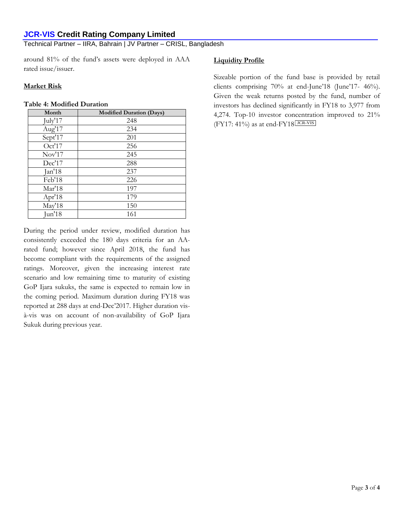# **JCR-VIS Credit Rating Company Limited**

Technical Partner – IIRA, Bahrain | JV Partner – CRISL, Bangladesh

around 81% of the fund's assets were deployed in AAA rated issue/issuer.

### **Market Risk**

#### **Table 4: Modified Duration**

| Month   | <b>Modified Duration (Days)</b> |
|---------|---------------------------------|
| July'17 | 248                             |
| Aug'17  | 234                             |
| Sept'17 | 201                             |
| Oct'17  | 256                             |
| Nov'17  | 245                             |
| Dec'17  | 288                             |
| Jan'18  | 237                             |
| Feb'18  | 226                             |
| Mar'18  | 197                             |
| Apr'18  | 179                             |
| May'18  | 150                             |
| Jun'18  | 161                             |

During the period under review, modified duration has consistently exceeded the 180 days criteria for an AArated fund; however since April 2018, the fund has become compliant with the requirements of the assigned ratings. Moreover, given the increasing interest rate scenario and low remaining time to maturity of existing GoP Ijara sukuks, the same is expected to remain low in the coming period. Maximum duration during FY18 was reported at 288 days at end-Dec'2017. Higher duration visà-vis was on account of non-availability of GoP Ijara Sukuk during previous year.

## **Liquidity Profile**

Sizeable portion of the fund base is provided by retail clients comprising 70% at end-June'18 (June'17- 46%). Given the weak returns posted by the fund, number of investors has declined significantly in FY18 to 3,977 from 4,274. Top-10 investor concentration improved to 21%  $(FY17: 41%)$  as at end- $FY18$  JCR-VIS